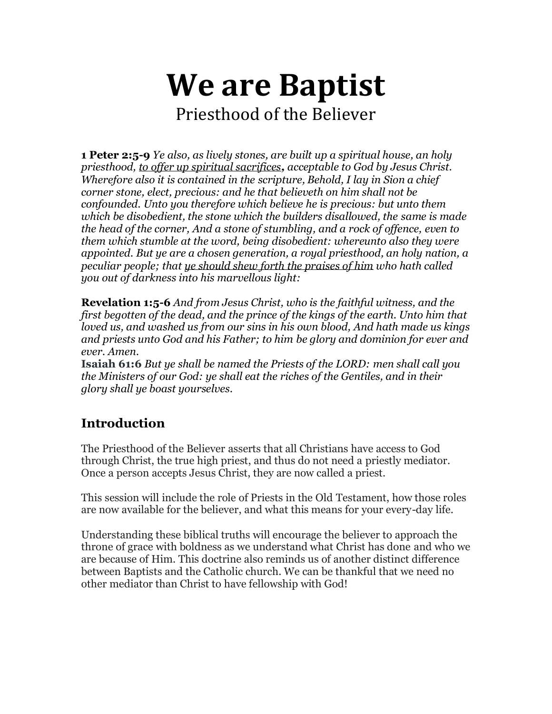# **We are Baptist** Priesthood of the Believer

**1 Peter 2:5-9** *Ye also, as lively stones, are built up a spiritual house, an holy priesthood, to offer up spiritual sacrifices, acceptable to God by Jesus Christ. Wherefore also it is contained in the scripture, Behold, I lay in Sion a chief corner stone, elect, precious: and he that believeth on him shall not be confounded. Unto you therefore which believe he is precious: but unto them which be disobedient, the stone which the builders disallowed, the same is made the head of the corner, And a stone of stumbling, and a rock of offence, even to them which stumble at the word, being disobedient: whereunto also they were appointed. But ye are a chosen generation, a royal priesthood, an holy nation, a peculiar people; that ye should shew forth the praises of him who hath called you out of darkness into his marvellous light:*

**Revelation 1:5-6** *And from Jesus Christ, who is the faithful witness, and the first begotten of the dead, and the prince of the kings of the earth. Unto him that loved us, and washed us from our sins in his own blood, And hath made us kings and priests unto God and his Father; to him be glory and dominion for ever and ever. Amen.*

**Isaiah 61:6** *But ye shall be named the Priests of the LORD: men shall call you the Ministers of our God: ye shall eat the riches of the Gentiles, and in their glory shall ye boast yourselves.*

## **Introduction**

The Priesthood of the Believer asserts that all Christians have access to God through Christ, the true high priest, and thus do not need a priestly mediator. Once a person accepts Jesus Christ, they are now called a priest.

This session will include the role of Priests in the Old Testament, how those roles are now available for the believer, and what this means for your every-day life.

Understanding these biblical truths will encourage the believer to approach the throne of grace with boldness as we understand what Christ has done and who we are because of Him. This doctrine also reminds us of another distinct difference between Baptists and the Catholic church. We can be thankful that we need no other mediator than Christ to have fellowship with God!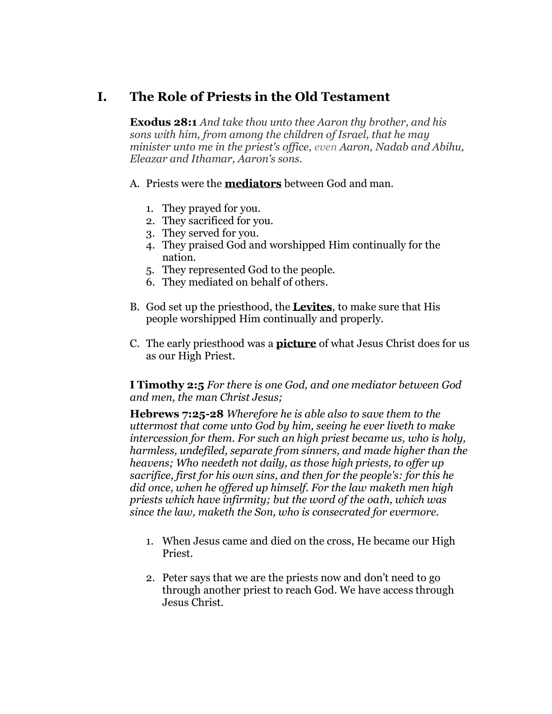### **I. The Role of Priests in the Old Testament**

**Exodus 28:1** *And take thou unto thee Aaron thy brother, and his sons with him, from among the children of Israel, that he may minister unto me in the priest's office, even Aaron, Nadab and Abihu, Eleazar and Ithamar, Aaron's sons.*

#### A. Priests were the **mediators** between God and man.

- 1. They prayed for you.
- 2. They sacrificed for you.
- 3. They served for you.
- 4. They praised God and worshipped Him continually for the nation.
- 5. They represented God to the people.
- 6. They mediated on behalf of others.
- B. God set up the priesthood, the **Levites**, to make sure that His people worshipped Him continually and properly.
- C. The early priesthood was a **picture** of what Jesus Christ does for us as our High Priest.

**I Timothy 2:5** *For there is one God, and one mediator between God and men, the man Christ Jesus;*

**Hebrews 7:25-28** *Wherefore he is able also to save them to the uttermost that come unto God by him, seeing he ever liveth to make intercession for them. For such an high priest became us, who is holy, harmless, undefiled, separate from sinners, and made higher than the heavens; Who needeth not daily, as those high priests, to offer up sacrifice, first for his own sins, and then for the people's: for this he did once, when he offered up himself. For the law maketh men high priests which have infirmity; but the word of the oath, which was since the law, maketh the Son, who is consecrated for evermore.*

- 1. When Jesus came and died on the cross, He became our High Priest.
- 2. Peter says that we are the priests now and don't need to go through another priest to reach God. We have access through Jesus Christ.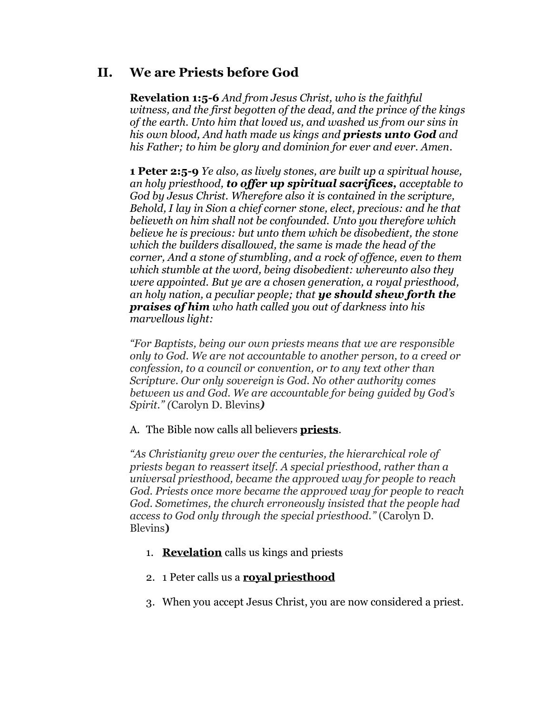### **II. We are Priests before God**

**Revelation 1:5-6** *And from Jesus Christ, who is the faithful witness, and the first begotten of the dead, and the prince of the kings of the earth. Unto him that loved us, and washed us from our sins in his own blood, And hath made us kings and priests unto God and his Father; to him be glory and dominion for ever and ever. Amen*.

**1 Peter 2:5-9** *Ye also, as lively stones, are built up a spiritual house, an holy priesthood, to offer up spiritual sacrifices, acceptable to God by Jesus Christ. Wherefore also it is contained in the scripture, Behold, I lay in Sion a chief corner stone, elect, precious: and he that believeth on him shall not be confounded. Unto you therefore which believe he is precious: but unto them which be disobedient, the stone which the builders disallowed, the same is made the head of the corner, And a stone of stumbling, and a rock of offence, even to them which stumble at the word, being disobedient: whereunto also they were appointed. But ye are a chosen generation, a royal priesthood, an holy nation, a peculiar people; that ye should shew forth the praises of him who hath called you out of darkness into his marvellous light:*

*"For Baptists, being our own priests means that we are responsible only to God. We are not accountable to another person, to a creed or confession, to a council or convention, or to any text other than Scripture. Our only sovereign is God. No other authority comes between us and God. We are accountable for being guided by God's Spirit." (*Carolyn D. Blevins*)*

#### A. The Bible now calls all believers **priests**.

*"As Christianity grew over the centuries, the hierarchical role of priests began to reassert itself. A special priesthood, rather than a universal priesthood, became the approved way for people to reach God. Priests once more became the approved way for people to reach God. Sometimes, the church erroneously insisted that the people had access to God only through the special priesthood."* (Carolyn D. Blevins**)**

- 1. **Revelation** calls us kings and priests
- 2. 1 Peter calls us a **royal priesthood**
- 3. When you accept Jesus Christ, you are now considered a priest.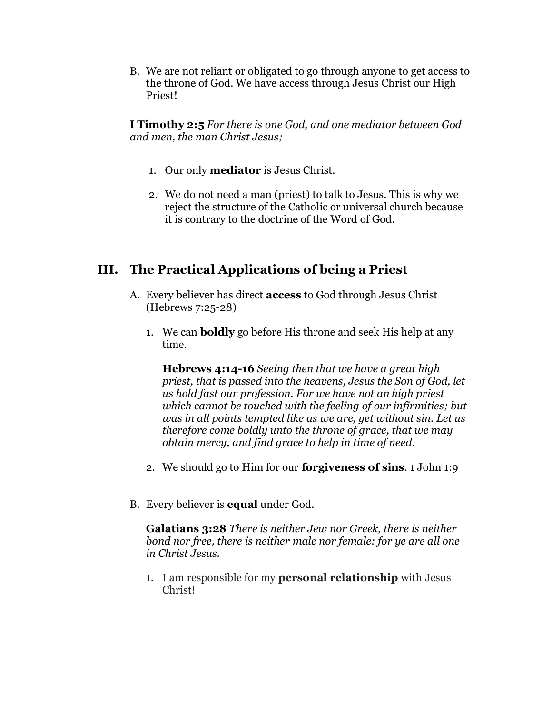B. We are not reliant or obligated to go through anyone to get access to the throne of God. We have access through Jesus Christ our High Priest!

**I Timothy 2:5** *For there is one God, and one mediator between God and men, the man Christ Jesus;*

- 1. Our only **mediator** is Jesus Christ.
- 2. We do not need a man (priest) to talk to Jesus. This is why we reject the structure of the Catholic or universal church because it is contrary to the doctrine of the Word of God.

## **III. The Practical Applications of being a Priest**

- A. Every believer has direct **access** to God through Jesus Christ (Hebrews 7:25-28)
	- 1. We can **boldly** go before His throne and seek His help at any time.

**Hebrews 4:14-16** *Seeing then that we have a great high priest, that is passed into the heavens, Jesus the Son of God, let us hold fast our profession. For we have not an high priest which cannot be touched with the feeling of our infirmities; but was in all points tempted like as we are, yet without sin. Let us therefore come boldly unto the throne of grace, that we may obtain mercy, and find grace to help in time of need.*

- 2. We should go to Him for our **forgiveness of sins**. 1 John 1:9
- B. Every believer is **equal** under God.

**Galatians 3:28** *There is neither Jew nor Greek, there is neither bond nor free, there is neither male nor female: for ye are all one in Christ Jesus.*

1. I am responsible for my **personal relationship** with Jesus Christ!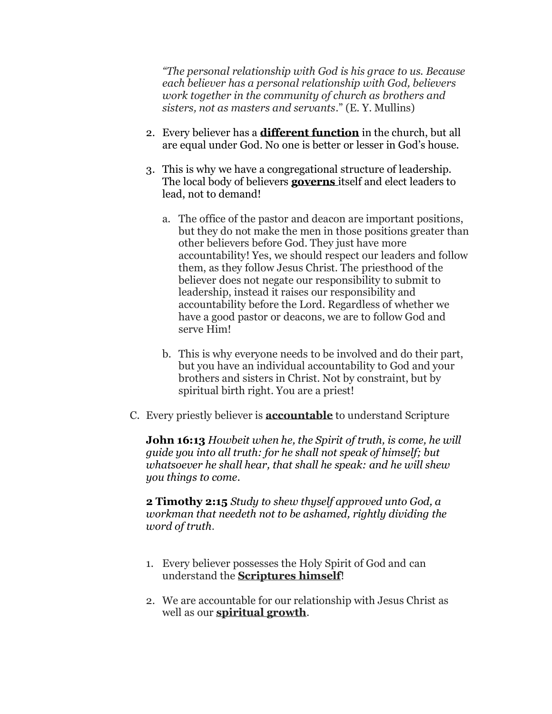*"The personal relationship with God is his grace to us. Because each believer has a personal relationship with God, believers work together in the community of church as brothers and sisters, not as masters and servants*." (E. Y. Mullins)

- 2. Every believer has a **different function** in the church, but all are equal under God. No one is better or lesser in God's house.
- 3. This is why we have a congregational structure of leadership. The local body of believers **governs** itself and elect leaders to lead, not to demand!
	- a. The office of the pastor and deacon are important positions, but they do not make the men in those positions greater than other believers before God. They just have more accountability! Yes, we should respect our leaders and follow them, as they follow Jesus Christ. The priesthood of the believer does not negate our responsibility to submit to leadership, instead it raises our responsibility and accountability before the Lord. Regardless of whether we have a good pastor or deacons, we are to follow God and serve Him!
	- b. This is why everyone needs to be involved and do their part, but you have an individual accountability to God and your brothers and sisters in Christ. Not by constraint, but by spiritual birth right. You are a priest!
- C. Every priestly believer is **accountable** to understand Scripture

**John 16:13** *Howbeit when he, the Spirit of truth, is come, he will guide you into all truth: for he shall not speak of himself; but whatsoever he shall hear, that shall he speak: and he will shew you things to come.*

**2 Timothy 2:15** *Study to shew thyself approved unto God, a workman that needeth not to be ashamed, rightly dividing the word of truth*.

- 1. Every believer possesses the Holy Spirit of God and can understand the **Scriptures himself**!
- 2. We are accountable for our relationship with Jesus Christ as well as our **spiritual growth**.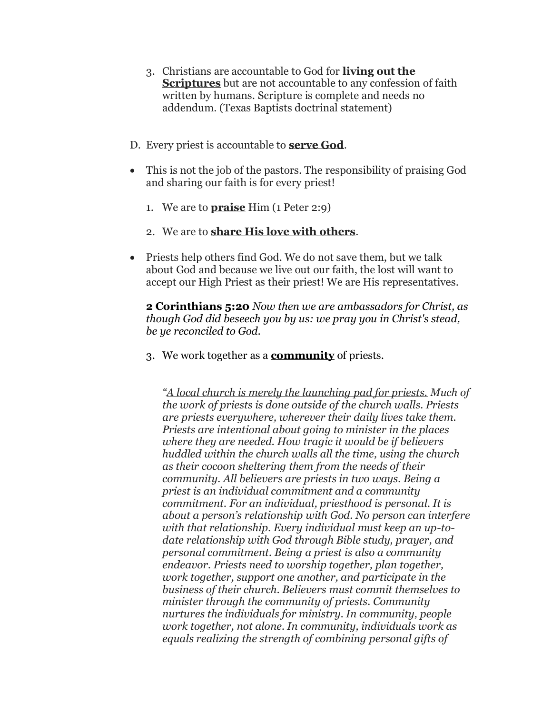- 3. Christians are accountable to God for **living out the Scriptures** but are not accountable to any confession of faith written by humans. Scripture is complete and needs no addendum. (Texas Baptists doctrinal statement)
- D. Every priest is accountable to **serve God**.
- This is not the job of the pastors. The responsibility of praising God and sharing our faith is for every priest!
	- 1. We are to **praise** Him (1 Peter 2:9)
	- 2. We are to **share His love with others**.
- Priests help others find God. We do not save them, but we talk about God and because we live out our faith, the lost will want to accept our High Priest as their priest! We are His representatives.

**2 Corinthians 5:20** *Now then we are ambassadors for Christ, as though God did beseech you by us: we pray you in Christ's stead, be ye reconciled to God.*

3. We work together as a **community** of priests.

*"A local church is merely the launching pad for priests. Much of the work of priests is done outside of the church walls. Priests are priests everywhere, wherever their daily lives take them. Priests are intentional about going to minister in the places where they are needed. How tragic it would be if believers huddled within the church walls all the time, using the church as their cocoon sheltering them from the needs of their community. All believers are priests in two ways. Being a priest is an individual commitment and a community commitment. For an individual, priesthood is personal. It is about a person's relationship with God. No person can interfere with that relationship. Every individual must keep an up-todate relationship with God through Bible study, prayer, and personal commitment. Being a priest is also a community endeavor. Priests need to worship together, plan together, work together, support one another, and participate in the business of their church. Believers must commit themselves to minister through the community of priests. Community nurtures the individuals for ministry. In community, people work together, not alone. In community, individuals work as equals realizing the strength of combining personal gifts of*